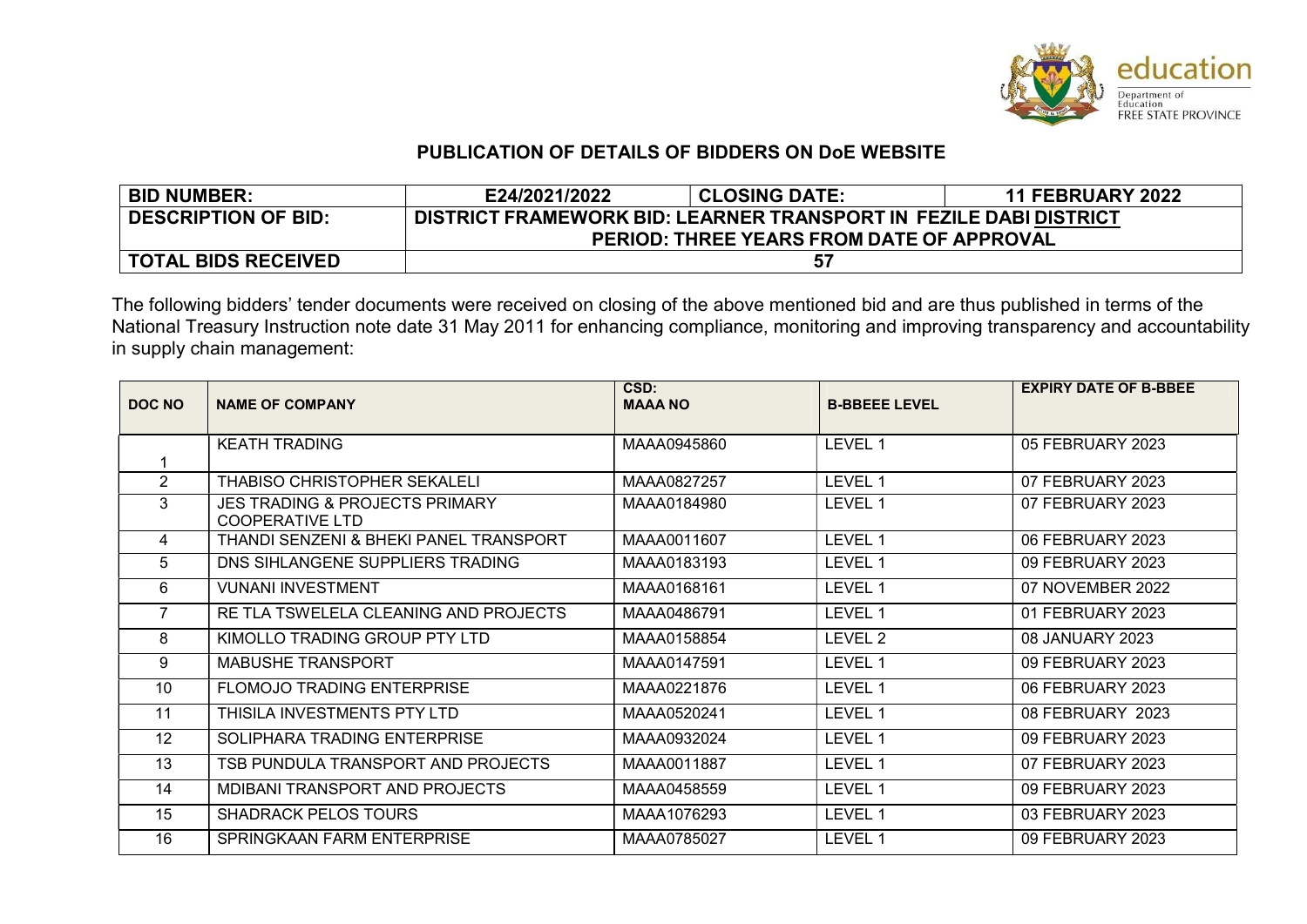

## PUBLICATION OF DETAILS OF BIDDERS ON DoE WEBSITE

| <b>BID NUMBER:</b>         | E24/2021/2022                                                     | <b>CLOSING DATE:</b> | <b>11 FEBRUARY 2022</b> |  |
|----------------------------|-------------------------------------------------------------------|----------------------|-------------------------|--|
| <b>DESCRIPTION OF BID:</b> | DISTRICT FRAMEWORK BID: LEARNER TRANSPORT IN FEZILE DABI DISTRICT |                      |                         |  |
|                            | <b>PERIOD: THREE YEARS FROM DATE OF APPROVAL</b>                  |                      |                         |  |
| <b>TOTAL BIDS RECEIVED</b> |                                                                   | 57                   |                         |  |

The following bidders' tender documents were received on closing of the above mentioned bid and are thus published in terms of the National Treasury Instruction note date 31 May 2011 for enhancing compliance, monitoring and improving transparency and accountability in supply chain management:

| DOC NO         | <b>NAME OF COMPANY</b>                                              | CSD:<br><b>MAAA NO</b> | <b>B-BBEEE LEVEL</b> | <b>EXPIRY DATE OF B-BBEE</b> |
|----------------|---------------------------------------------------------------------|------------------------|----------------------|------------------------------|
|                |                                                                     |                        |                      |                              |
|                | <b>KEATH TRADING</b>                                                | MAAA0945860            | LEVEL 1              | 05 FEBRUARY 2023             |
|                |                                                                     |                        |                      |                              |
| $\overline{2}$ | THABISO CHRISTOPHER SEKALELI                                        | MAAA0827257            | LEVEL 1              | 07 FEBRUARY 2023             |
| 3              | <b>JES TRADING &amp; PROJECTS PRIMARY</b><br><b>COOPERATIVE LTD</b> | MAAA0184980            | LEVEL 1              | 07 FEBRUARY 2023             |
| 4              | THANDI SENZENI & BHEKI PANEL TRANSPORT                              | MAAA0011607            | LEVEL 1              | 06 FEBRUARY 2023             |
| 5              | DNS SIHLANGENE SUPPLIERS TRADING                                    | MAAA0183193            | LEVEL 1              | 09 FEBRUARY 2023             |
| 6              | <b>VUNANI INVESTMENT</b>                                            | MAAA0168161            | LEVEL 1              | 07 NOVEMBER 2022             |
| $\overline{7}$ | RE TLA TSWELELA CLEANING AND PROJECTS                               | MAAA0486791            | LEVEL 1              | 01 FEBRUARY 2023             |
| 8              | KIMOLLO TRADING GROUP PTY LTD                                       | MAAA0158854            | LEVEL 2              | 08 JANUARY 2023              |
| 9              | <b>MABUSHE TRANSPORT</b>                                            | MAAA0147591            | LEVEL 1              | 09 FEBRUARY 2023             |
| 10             | <b>FLOMOJO TRADING ENTERPRISE</b>                                   | MAAA0221876            | LEVEL 1              | 06 FEBRUARY 2023             |
| 11             | THISILA INVESTMENTS PTY LTD                                         | MAAA0520241            | LEVEL 1              | 08 FEBRUARY 2023             |
| 12             | SOLIPHARA TRADING ENTERPRISE                                        | MAAA0932024            | LEVEL 1              | 09 FEBRUARY 2023             |
| 13             | TSB PUNDULA TRANSPORT AND PROJECTS                                  | MAAA0011887            | LEVEL 1              | 07 FEBRUARY 2023             |
| 14             | <b>MDIBANI TRANSPORT AND PROJECTS</b>                               | MAAA0458559            | LEVEL 1              | 09 FEBRUARY 2023             |
| 15             | <b>SHADRACK PELOS TOURS</b>                                         | MAAA1076293            | LEVEL 1              | 03 FEBRUARY 2023             |
| 16             | SPRINGKAAN FARM ENTERPRISE                                          | MAAA0785027            | LEVEL 1              | 09 FEBRUARY 2023             |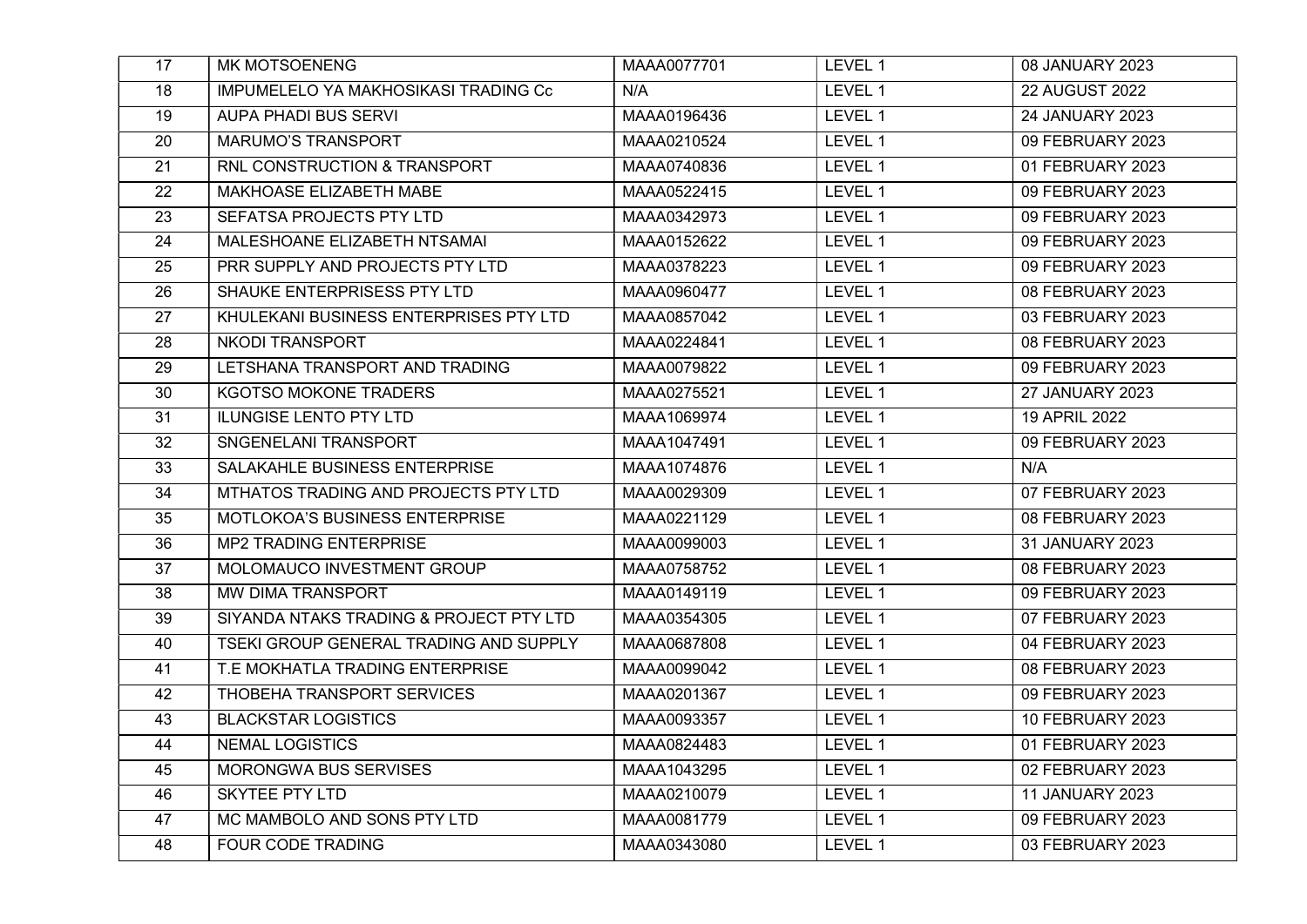| 17              | MK MOTSOENENG                                           | MAAA0077701 | LEVEL 1 | 08 JANUARY 2023        |
|-----------------|---------------------------------------------------------|-------------|---------|------------------------|
| 18              | IMPUMELELO YA MAKHOSIKASI TRADING Cc                    | N/A         | LEVEL 1 | <b>22 AUGUST 2022</b>  |
| 19              | <b>AUPA PHADI BUS SERVI</b>                             | MAAA0196436 | LEVEL 1 | <b>24 JANUARY 2023</b> |
| 20              | <b>MARUMO'S TRANSPORT</b>                               | MAAA0210524 | LEVEL 1 | 09 FEBRUARY 2023       |
| 21              | RNL CONSTRUCTION & TRANSPORT                            | MAAA0740836 | LEVEL 1 | 01 FEBRUARY 2023       |
| 22              | MAKHOASE ELIZABETH MABE                                 | MAAA0522415 | LEVEL 1 | 09 FEBRUARY 2023       |
| 23              | SEFATSA PROJECTS PTY LTD                                | MAAA0342973 | LEVEL 1 | 09 FEBRUARY 2023       |
| 24              | MALESHOANE ELIZABETH NTSAMAI                            | MAAA0152622 | LEVEL 1 | 09 FEBRUARY 2023       |
| $\overline{25}$ | PRR SUPPLY AND PROJECTS PTY LTD                         | MAAA0378223 | LEVEL 1 | 09 FEBRUARY 2023       |
| 26              | SHAUKE ENTERPRISESS PTY LTD                             | MAAA0960477 | LEVEL 1 | 08 FEBRUARY 2023       |
| 27              | KHULEKANI BUSINESS ENTERPRISES PTY LTD                  | MAAA0857042 | LEVEL 1 | 03 FEBRUARY 2023       |
| 28              | <b>NKODI TRANSPORT</b>                                  | MAAA0224841 | LEVEL 1 | 08 FEBRUARY 2023       |
| 29              | LETSHANA TRANSPORT AND TRADING                          | MAAA0079822 | LEVEL 1 | 09 FEBRUARY 2023       |
| 30              | <b>KGOTSO MOKONE TRADERS</b>                            | MAAA0275521 | LEVEL 1 | <b>27 JANUARY 2023</b> |
| 31              | <b>ILUNGISE LENTO PTY LTD</b>                           | MAAA1069974 | LEVEL 1 | 19 APRIL 2022          |
| 32              | SNGENELANI TRANSPORT                                    | MAAA1047491 | LEVEL 1 | 09 FEBRUARY 2023       |
| 33              | SALAKAHLE BUSINESS ENTERPRISE                           | MAAA1074876 | LEVEL 1 | N/A                    |
| 34              | MTHATOS TRADING AND PROJECTS PTY LTD                    | MAAA0029309 | LEVEL 1 | 07 FEBRUARY 2023       |
| 35              | MOTLOKOA'S BUSINESS ENTERPRISE                          | MAAA0221129 | LEVEL 1 | 08 FEBRUARY 2023       |
| 36              | <b>MP2 TRADING ENTERPRISE</b>                           | MAAA0099003 | LEVEL 1 | 31 JANUARY 2023        |
| 37              | MOLOMAUCO INVESTMENT GROUP                              | MAAA0758752 | LEVEL 1 | 08 FEBRUARY 2023       |
| 38              | MW DIMA TRANSPORT                                       | MAAA0149119 | LEVEL 1 | 09 FEBRUARY 2023       |
| 39              | SIYANDA NTAKS TRADING & PROJECT PTY LTD                 | MAAA0354305 | LEVEL 1 | 07 FEBRUARY 2023       |
| 40              | TSEKI GROUP GENERAL TRADING AND SUPPLY                  | MAAA0687808 | LEVEL 1 | 04 FEBRUARY 2023       |
| 41              | T.E MOKHATLA TRADING ENTERPRISE                         | MAAA0099042 | LEVEL 1 | 08 FEBRUARY 2023       |
| 42              | THOBEHA TRANSPORT SERVICES                              | MAAA0201367 | LEVEL 1 | 09 FEBRUARY 2023       |
| 43              | <b>BLACKSTAR LOGISTICS</b>                              | MAAA0093357 | LEVEL 1 | 10 FEBRUARY 2023       |
| 44              | <b>NEMAL LOGISTICS</b>                                  | MAAA0824483 | LEVEL 1 | 01 FEBRUARY 2023       |
| 45              | MORONGWA BUS SERVISES                                   | MAAA1043295 | LEVEL 1 | 02 FEBRUARY 2023       |
|                 |                                                         |             |         |                        |
| 46              | SKYTEE PTY LTD                                          | MAAA0210079 | LEVEL 1 | <b>11 JANUARY 2023</b> |
| 47              | MC MAMBOLO AND SONS PTY LTD<br><b>FOUR CODE TRADING</b> | MAAA0081779 | LEVEL 1 | 09 FEBRUARY 2023       |